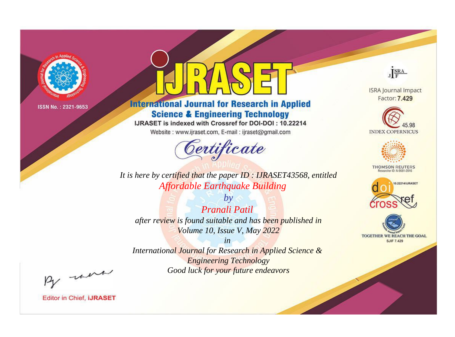

# **International Journal for Research in Applied Science & Engineering Technology**

IJRASET is indexed with Crossref for DOI-DOI: 10.22214

Website: www.ijraset.com, E-mail: ijraset@gmail.com



JERA

**ISRA Journal Impact** Factor: 7.429





**THOMSON REUTERS** 



TOGETHER WE REACH THE GOAL **SJIF 7.429** 

*It is here by certified that the paper ID : IJRASET43568, entitled Affordable Earthquake Building*

*by Pranali Patil after review is found suitable and has been published in Volume 10, Issue V, May 2022*

*in* 

*International Journal for Research in Applied Science & Engineering Technology Good luck for your future endeavors*

By morn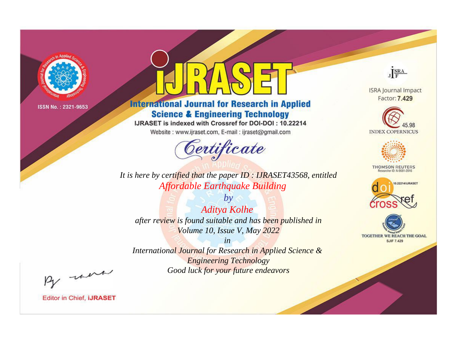

# **International Journal for Research in Applied Science & Engineering Technology**

IJRASET is indexed with Crossref for DOI-DOI: 10.22214

Website: www.ijraset.com, E-mail: ijraset@gmail.com



JERA

**ISRA Journal Impact** Factor: 7.429





**THOMSON REUTERS** 



TOGETHER WE REACH THE GOAL **SJIF 7.429** 

*It is here by certified that the paper ID : IJRASET43568, entitled Affordable Earthquake Building*

*by Aditya Kolhe after review is found suitable and has been published in Volume 10, Issue V, May 2022*

*in* 

*International Journal for Research in Applied Science & Engineering Technology Good luck for your future endeavors*

By morn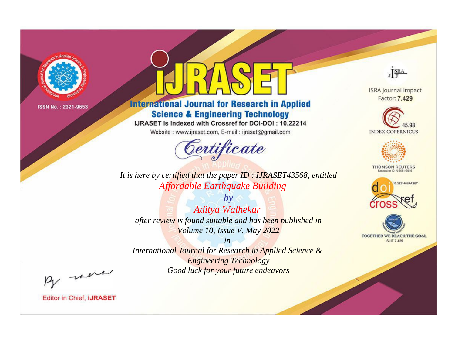

# **International Journal for Research in Applied Science & Engineering Technology**

IJRASET is indexed with Crossref for DOI-DOI: 10.22214

Website: www.ijraset.com, E-mail: ijraset@gmail.com



JERA

**ISRA Journal Impact** Factor: 7.429





**THOMSON REUTERS** 



TOGETHER WE REACH THE GOAL **SJIF 7.429** 

*It is here by certified that the paper ID : IJRASET43568, entitled Affordable Earthquake Building*

*by Aditya Walhekar after review is found suitable and has been published in Volume 10, Issue V, May 2022*

*in* 

*International Journal for Research in Applied Science & Engineering Technology Good luck for your future endeavors*

By morn